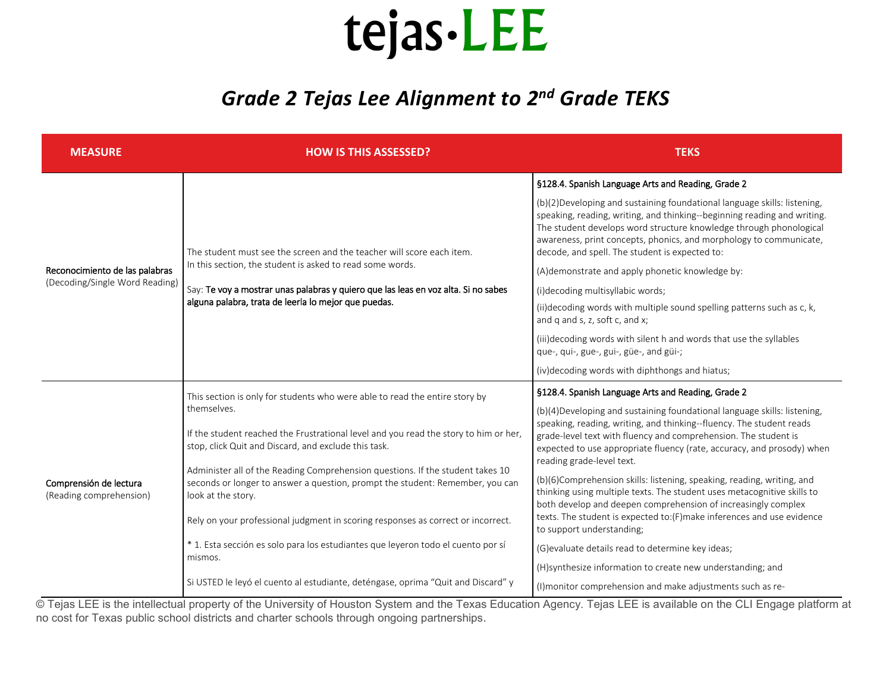## tejas - LEE

## *Grade 2 Tejas Lee Alignment to 2nd Grade TEKS*

| <b>MEASURE</b>                                                   | <b>HOW IS THIS ASSESSED?</b>                                                                                                                                                                                                                                                     | <b>TEKS</b>                                                                                                                                                                                                                                                                                                                                                                                             |
|------------------------------------------------------------------|----------------------------------------------------------------------------------------------------------------------------------------------------------------------------------------------------------------------------------------------------------------------------------|---------------------------------------------------------------------------------------------------------------------------------------------------------------------------------------------------------------------------------------------------------------------------------------------------------------------------------------------------------------------------------------------------------|
| Reconocimiento de las palabras<br>(Decoding/Single Word Reading) | The student must see the screen and the teacher will score each item.<br>In this section, the student is asked to read some words.<br>Say: Te voy a mostrar unas palabras y quiero que las leas en voz alta. Si no sabes<br>alguna palabra, trata de leerla lo mejor que puedas. | §128.4. Spanish Language Arts and Reading, Grade 2                                                                                                                                                                                                                                                                                                                                                      |
|                                                                  |                                                                                                                                                                                                                                                                                  | (b)(2) Developing and sustaining foundational language skills: listening,<br>speaking, reading, writing, and thinking--beginning reading and writing.<br>The student develops word structure knowledge through phonological<br>awareness, print concepts, phonics, and morphology to communicate,<br>decode, and spell. The student is expected to:<br>(A) demonstrate and apply phonetic knowledge by: |
|                                                                  |                                                                                                                                                                                                                                                                                  | (i)decoding multisyllabic words;                                                                                                                                                                                                                                                                                                                                                                        |
|                                                                  |                                                                                                                                                                                                                                                                                  | (ii) decoding words with multiple sound spelling patterns such as c, k,<br>and q and s, z, soft c, and x;                                                                                                                                                                                                                                                                                               |
|                                                                  |                                                                                                                                                                                                                                                                                  | (iii) decoding words with silent h and words that use the syllables<br>que-, qui-, gue-, gui-, güe-, and güi-;                                                                                                                                                                                                                                                                                          |
|                                                                  |                                                                                                                                                                                                                                                                                  | (iv) decoding words with diphthongs and hiatus;                                                                                                                                                                                                                                                                                                                                                         |
| Comprensión de lectura<br>(Reading comprehension)                | This section is only for students who were able to read the entire story by<br>themselves.                                                                                                                                                                                       | §128.4. Spanish Language Arts and Reading, Grade 2                                                                                                                                                                                                                                                                                                                                                      |
|                                                                  |                                                                                                                                                                                                                                                                                  | (b)(4) Developing and sustaining foundational language skills: listening,                                                                                                                                                                                                                                                                                                                               |
|                                                                  | If the student reached the Frustrational level and you read the story to him or her,<br>stop, click Quit and Discard, and exclude this task.                                                                                                                                     | speaking, reading, writing, and thinking--fluency. The student reads<br>grade-level text with fluency and comprehension. The student is<br>expected to use appropriate fluency (rate, accuracy, and prosody) when<br>reading grade-level text.                                                                                                                                                          |
|                                                                  | Administer all of the Reading Comprehension questions. If the student takes 10<br>seconds or longer to answer a question, prompt the student: Remember, you can<br>look at the story.                                                                                            | (b)(6)Comprehension skills: listening, speaking, reading, writing, and<br>thinking using multiple texts. The student uses metacognitive skills to<br>both develop and deepen comprehension of increasingly complex                                                                                                                                                                                      |
|                                                                  | Rely on your professional judgment in scoring responses as correct or incorrect.                                                                                                                                                                                                 | texts. The student is expected to: (F) make inferences and use evidence<br>to support understanding;                                                                                                                                                                                                                                                                                                    |
|                                                                  | * 1. Esta sección es solo para los estudiantes que leyeron todo el cuento por sí<br>mismos.                                                                                                                                                                                      | (G) evaluate details read to determine key ideas;                                                                                                                                                                                                                                                                                                                                                       |
|                                                                  |                                                                                                                                                                                                                                                                                  | (H)synthesize information to create new understanding; and                                                                                                                                                                                                                                                                                                                                              |
|                                                                  | Si USTED le leyó el cuento al estudiante, deténgase, oprima "Quit and Discard" y                                                                                                                                                                                                 | (I) monitor comprehension and make adjustments such as re-                                                                                                                                                                                                                                                                                                                                              |

© Tejas LEE is the intellectual property of the University of Houston System and the Texas Education Agency. Tejas LEE is available on the CLI Engage platform at no cost for Texas public school districts and charter schools through ongoing partnerships.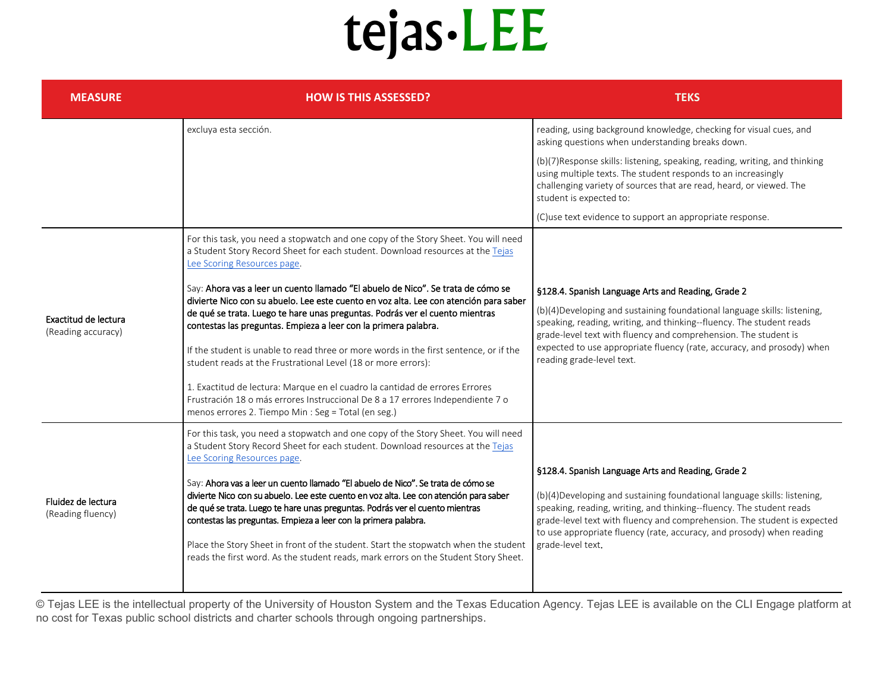## tejas - LEE

| <b>MEASURE</b>                             | <b>HOW IS THIS ASSESSED?</b>                                                                                                                                                                                                                                                                                                                                                                                                                                                                                                                                                                                                                                                                                      | <b>TEKS</b>                                                                                                                                                                                                                                                                                                                                                                       |
|--------------------------------------------|-------------------------------------------------------------------------------------------------------------------------------------------------------------------------------------------------------------------------------------------------------------------------------------------------------------------------------------------------------------------------------------------------------------------------------------------------------------------------------------------------------------------------------------------------------------------------------------------------------------------------------------------------------------------------------------------------------------------|-----------------------------------------------------------------------------------------------------------------------------------------------------------------------------------------------------------------------------------------------------------------------------------------------------------------------------------------------------------------------------------|
|                                            | excluya esta sección.                                                                                                                                                                                                                                                                                                                                                                                                                                                                                                                                                                                                                                                                                             | reading, using background knowledge, checking for visual cues, and<br>asking questions when understanding breaks down.                                                                                                                                                                                                                                                            |
|                                            |                                                                                                                                                                                                                                                                                                                                                                                                                                                                                                                                                                                                                                                                                                                   | (b)(7) Response skills: listening, speaking, reading, writing, and thinking<br>using multiple texts. The student responds to an increasingly<br>challenging variety of sources that are read, heard, or viewed. The<br>student is expected to:                                                                                                                                    |
|                                            |                                                                                                                                                                                                                                                                                                                                                                                                                                                                                                                                                                                                                                                                                                                   | (C)use text evidence to support an appropriate response.                                                                                                                                                                                                                                                                                                                          |
| Exactitud de lectura<br>(Reading accuracy) | For this task, you need a stopwatch and one copy of the Story Sheet. You will need<br>a Student Story Record Sheet for each student. Download resources at the Tejas<br>Lee Scoring Resources page.                                                                                                                                                                                                                                                                                                                                                                                                                                                                                                               |                                                                                                                                                                                                                                                                                                                                                                                   |
|                                            | Say: Ahora vas a leer un cuento llamado "El abuelo de Nico". Se trata de cómo se<br>divierte Nico con su abuelo. Lee este cuento en voz alta. Lee con atención para saber<br>de qué se trata. Luego te hare unas preguntas. Podrás ver el cuento mientras<br>contestas las preguntas. Empieza a leer con la primera palabra.<br>If the student is unable to read three or more words in the first sentence, or if the<br>student reads at the Frustrational Level (18 or more errors):                                                                                                                                                                                                                            | §128.4. Spanish Language Arts and Reading, Grade 2<br>(b)(4) Developing and sustaining foundational language skills: listening,<br>speaking, reading, writing, and thinking--fluency. The student reads<br>grade-level text with fluency and comprehension. The student is<br>expected to use appropriate fluency (rate, accuracy, and prosody) when<br>reading grade-level text. |
|                                            | 1. Exactitud de lectura: Marque en el cuadro la cantidad de errores Errores<br>Frustración 18 o más errores Instruccional De 8 a 17 errores Independiente 7 o<br>menos errores 2. Tiempo Min : Seg = Total (en seg.)                                                                                                                                                                                                                                                                                                                                                                                                                                                                                              |                                                                                                                                                                                                                                                                                                                                                                                   |
| Fluidez de lectura<br>(Reading fluency)    | For this task, you need a stopwatch and one copy of the Story Sheet. You will need<br>a Student Story Record Sheet for each student. Download resources at the Tejas<br>Lee Scoring Resources page.<br>Say: Ahora vas a leer un cuento llamado "El abuelo de Nico". Se trata de cómo se<br>divierte Nico con su abuelo. Lee este cuento en voz alta. Lee con atención para saber<br>de qué se trata. Luego te hare unas preguntas. Podrás ver el cuento mientras<br>contestas las preguntas. Empieza a leer con la primera palabra.<br>Place the Story Sheet in front of the student. Start the stopwatch when the student<br>reads the first word. As the student reads, mark errors on the Student Story Sheet. | §128.4. Spanish Language Arts and Reading, Grade 2<br>(b)(4)Developing and sustaining foundational language skills: listening,<br>speaking, reading, writing, and thinking--fluency. The student reads<br>grade-level text with fluency and comprehension. The student is expected<br>to use appropriate fluency (rate, accuracy, and prosody) when reading<br>grade-level text.  |

© Tejas LEE is the intellectual property of the University of Houston System and the Texas Education Agency. Tejas LEE is available on the CLI Engage platform at no cost for Texas public school districts and charter schools through ongoing partnerships.